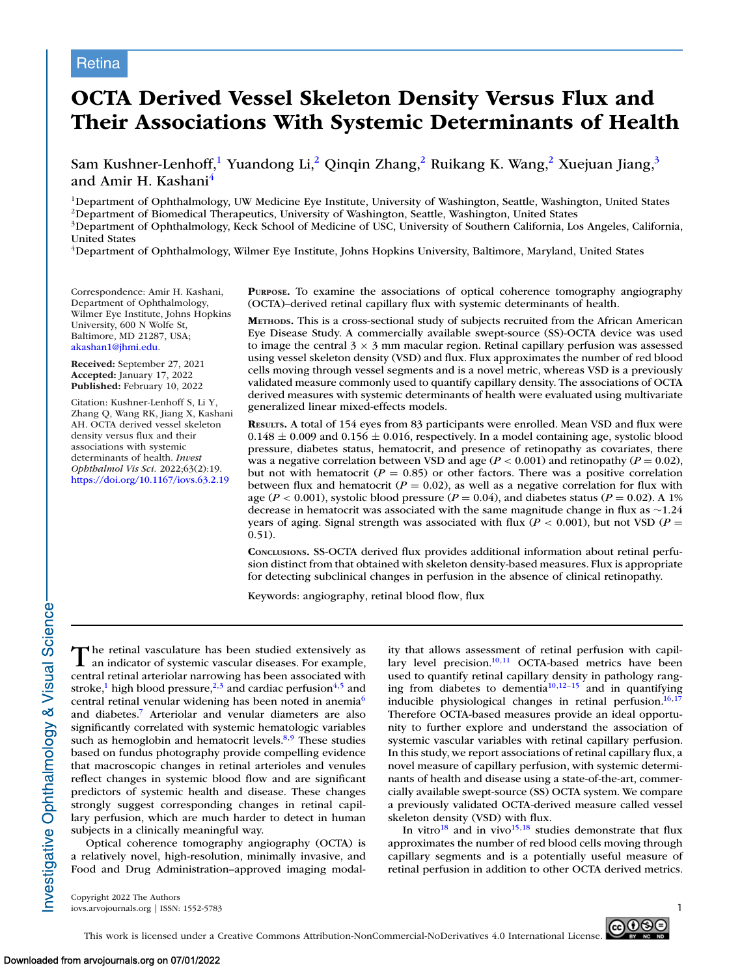## **Retina**

# **OCTA Derived Vessel Skeleton Density Versus Flux and Their Associations With Systemic Determinants of Health**

Sam Kushner-Lenhoff,<sup>1</sup> Yuandong Li,<sup>2</sup> Qinqin Zhang,<sup>2</sup> Ruikang K. Wang,<sup>2</sup> Xuejuan Jiang,<sup>3</sup> and Amir H. Kashani<sup>4</sup>

<sup>1</sup>Department of Ophthalmology, UW Medicine Eye Institute, University of Washington, Seattle, Washington, United States

2Department of Biomedical Therapeutics, University of Washington, Seattle, Washington, United States

3Department of Ophthalmology, Keck School of Medicine of USC, University of Southern California, Los Angeles, California, United States

4Department of Ophthalmology, Wilmer Eye Institute, Johns Hopkins University, Baltimore, Maryland, United States

Correspondence: Amir H. Kashani, Department of Ophthalmology, Wilmer Eye Institute, Johns Hopkins University, 600 N Wolfe St, Baltimore, MD 21287, USA; [akashan1@jhmi.edu.](mailto:akashan1@jhmi.edu)

**Received:** September 27, 2021 **Accepted:** January 17, 2022 **Published:** February 10, 2022

Citation: Kushner-Lenhoff S, Li Y, Zhang Q, Wang RK, Jiang X, Kashani AH. OCTA derived vessel skeleton density versus flux and their associations with systemic determinants of health. *Invest Ophthalmol Vis Sci.* 2022;63(2):19. <https://doi.org/10.1167/iovs.63.2.19>

**PURPOSE.** To examine the associations of optical coherence tomography angiography (OCTA)–derived retinal capillary flux with systemic determinants of health.

**METHODS.** This is a cross-sectional study of subjects recruited from the African American Eye Disease Study. A commercially available swept-source (SS)-OCTA device was used to image the central  $3 \times 3$  mm macular region. Retinal capillary perfusion was assessed using vessel skeleton density (VSD) and flux. Flux approximates the number of red blood cells moving through vessel segments and is a novel metric, whereas VSD is a previously validated measure commonly used to quantify capillary density. The associations of OCTA derived measures with systemic determinants of health were evaluated using multivariate generalized linear mixed-effects models.

**RESULTS.** A total of 154 eyes from 83 participants were enrolled. Mean VSD and flux were  $0.148 \pm 0.009$  and  $0.156 \pm 0.016$ , respectively. In a model containing age, systolic blood pressure, diabetes status, hematocrit, and presence of retinopathy as covariates, there was a negative correlation between VSD and age  $(P < 0.001)$  and retinopathy  $(P = 0.02)$ , but not with hematocrit ( $P = 0.85$ ) or other factors. There was a positive correlation between flux and hematocrit ( $P = 0.02$ ), as well as a negative correlation for flux with age ( $P < 0.001$ ), systolic blood pressure ( $P = 0.04$ ), and diabetes status ( $P = 0.02$ ). A 1% decrease in hematocrit was associated with the same magnitude change in flux as ∼1.24 years of aging. Signal strength was associated with flux ( $P < 0.001$ ), but not VSD ( $P =$ 0.51).

**CONCLUSIONS.** SS-OCTA derived flux provides additional information about retinal perfusion distinct from that obtained with skeleton density-based measures. Flux is appropriate for detecting subclinical changes in perfusion in the absence of clinical retinopathy.

Keywords: angiography, retinal blood flow, flux

The retinal vasculature has been studied extensively as an indicator of systemic vascular diseases. For example, central retinal arteriolar narrowing has been associated with stroke,<sup>1</sup> high blood pressure,<sup>2,3</sup> and cardiac perfusion<sup>4,5</sup> and central retinal venular widening has been noted in anemia<sup>6</sup> and diabetes[.7](#page-5-0) Arteriolar and venular diameters are also significantly correlated with systemic hematologic variables such as hemoglobin and hematocrit levels. $8,9$  These studies based on fundus photography provide compelling evidence that macroscopic changes in retinal arterioles and venules reflect changes in systemic blood flow and are significant predictors of systemic health and disease. These changes strongly suggest corresponding changes in retinal capillary perfusion, which are much harder to detect in human subjects in a clinically meaningful way.

Optical coherence tomography angiography (OCTA) is a relatively novel, high-resolution, minimally invasive, and Food and Drug Administration–approved imaging modality that allows assessment of retinal perfusion with capillary level precision. $10,11$  OCTA-based metrics have been used to quantify retinal capillary density in pathology ranging from diabetes to dementia $10,12-15$  $10,12-15$  and in quantifying inducible physiological changes in retinal perfusion. $16,17$ Therefore OCTA-based measures provide an ideal opportunity to further explore and understand the association of systemic vascular variables with retinal capillary perfusion. In this study, we report associations of retinal capillary flux, a novel measure of capillary perfusion, with systemic determinants of health and disease using a state-of-the-art, commercially available swept-source (SS) OCTA system. We compare a previously validated OCTA-derived measure called vessel skeleton density (VSD) with flux.

In vitro $18$  and in vivo $15,18$  studies demonstrate that flux approximates the number of red blood cells moving through capillary segments and is a potentially useful measure of retinal perfusion in addition to other OCTA derived metrics.

Copyright 2022 The Authors iovs.arvojournals.org | ISSN: 1552-5783 1

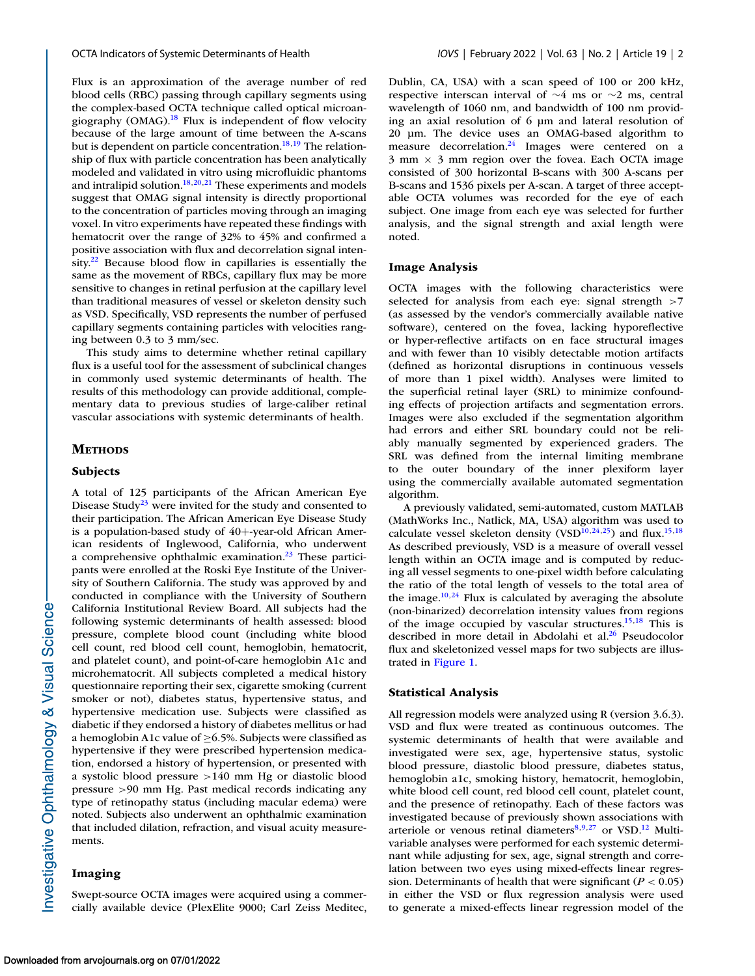Flux is an approximation of the average number of red blood cells (RBC) passing through capillary segments using the complex-based OCTA technique called optical microangiography (OMAG).<sup>18</sup> Flux is independent of flow velocity because of the large amount of time between the A-scans but is dependent on particle concentration.<sup>18,19</sup> The relationship of flux with particle concentration has been analytically modeled and validated in vitro using microfluidic phantoms and intralipid solution. $18,20,21$  These experiments and models suggest that OMAG signal intensity is directly proportional to the concentration of particles moving through an imaging voxel. In vitro experiments have repeated these findings with hematocrit over the range of 32% to 45% and confirmed a positive association with flux and decorrelation signal intensity. $22$  Because blood flow in capillaries is essentially the same as the movement of RBCs, capillary flux may be more sensitive to changes in retinal perfusion at the capillary level than traditional measures of vessel or skeleton density such as VSD. Specifically, VSD represents the number of perfused capillary segments containing particles with velocities ranging between 0.3 to 3 mm/sec.

This study aims to determine whether retinal capillary flux is a useful tool for the assessment of subclinical changes in commonly used systemic determinants of health. The results of this methodology can provide additional, complementary data to previous studies of large-caliber retinal vascular associations with systemic determinants of health.

#### **METHODS**

#### **Subjects**

A total of 125 participants of the African American Eye Disease Study<sup>23</sup> were invited for the study and consented to their participation. The African American Eye Disease Study is a population-based study of 40+-year-old African American residents of Inglewood, California, who underwent a comprehensive ophthalmic examination. $23$  These participants were enrolled at the Roski Eye Institute of the University of Southern California. The study was approved by and conducted in compliance with the University of Southern California Institutional Review Board. All subjects had the following systemic determinants of health assessed: blood pressure, complete blood count (including white blood cell count, red blood cell count, hemoglobin, hematocrit, and platelet count), and point-of-care hemoglobin A1c and microhematocrit. All subjects completed a medical history questionnaire reporting their sex, cigarette smoking (current smoker or not), diabetes status, hypertensive status, and hypertensive medication use. Subjects were classified as diabetic if they endorsed a history of diabetes mellitus or had a hemoglobin A1c value of  $\geq$  6.5%. Subjects were classified as hypertensive if they were prescribed hypertension medication, endorsed a history of hypertension, or presented with a systolic blood pressure >140 mm Hg or diastolic blood pressure >90 mm Hg. Past medical records indicating any type of retinopathy status (including macular edema) were noted. Subjects also underwent an ophthalmic examination that included dilation, refraction, and visual acuity measurements.

### **Imaging**

Swept-source OCTA images were acquired using a commercially available device (PlexElite 9000; Carl Zeiss Meditec, Dublin, CA, USA) with a scan speed of 100 or 200 kHz, respective interscan interval of ∼4 ms or ∼2 ms, central wavelength of 1060 nm, and bandwidth of 100 nm providing an axial resolution of 6 μm and lateral resolution of 20 μm. The device uses an OMAG-based algorithm to measure decorrelation. $24$  Images were centered on a  $3 \text{ mm} \times 3 \text{ mm}$  region over the fovea. Each OCTA image consisted of 300 horizontal B-scans with 300 A-scans per B-scans and 1536 pixels per A-scan. A target of three acceptable OCTA volumes was recorded for the eye of each subject. One image from each eye was selected for further analysis, and the signal strength and axial length were noted.

#### **Image Analysis**

OCTA images with the following characteristics were selected for analysis from each eye: signal strength >7 (as assessed by the vendor's commercially available native software), centered on the fovea, lacking hyporeflective or hyper-reflective artifacts on en face structural images and with fewer than 10 visibly detectable motion artifacts (defined as horizontal disruptions in continuous vessels of more than 1 pixel width). Analyses were limited to the superficial retinal layer (SRL) to minimize confounding effects of projection artifacts and segmentation errors. Images were also excluded if the segmentation algorithm had errors and either SRL boundary could not be reliably manually segmented by experienced graders. The SRL was defined from the internal limiting membrane to the outer boundary of the inner plexiform layer using the commercially available automated segmentation algorithm.

A previously validated, semi-automated, custom MATLAB (MathWorks Inc., Natlick, MA, USA) algorithm was used to calculate vessel skeleton density (VSD<sup>10,24,25</sup>) and flux.<sup>15,18</sup> As described previously, VSD is a measure of overall vessel length within an OCTA image and is computed by reducing all vessel segments to one-pixel width before calculating the ratio of the total length of vessels to the total area of the image. $10,24$  $10,24$  Flux is calculated by averaging the absolute (non-binarized) decorrelation intensity values from regions of the image occupied by vascular structures[.15,18](#page-6-0) This is described in more detail in Abdolahi et al.<sup>26</sup> Pseudocolor flux and skeletonized vessel maps for two subjects are illustrated in [Figure 1.](#page-2-0)

#### **Statistical Analysis**

All regression models were analyzed using R (version 3.6.3). VSD and flux were treated as continuous outcomes. The systemic determinants of health that were available and investigated were sex, age, hypertensive status, systolic blood pressure, diastolic blood pressure, diabetes status, hemoglobin a1c, smoking history, hematocrit, hemoglobin, white blood cell count, red blood cell count, platelet count, and the presence of retinopathy. Each of these factors was investigated because of previously shown associations with arteriole or venous retinal diameters $8,9,27$  $8,9,27$  or VSD.<sup>12</sup> Multivariable analyses were performed for each systemic determinant while adjusting for sex, age, signal strength and correlation between two eyes using mixed-effects linear regression. Determinants of health that were significant  $(P < 0.05)$ in either the VSD or flux regression analysis were used to generate a mixed-effects linear regression model of the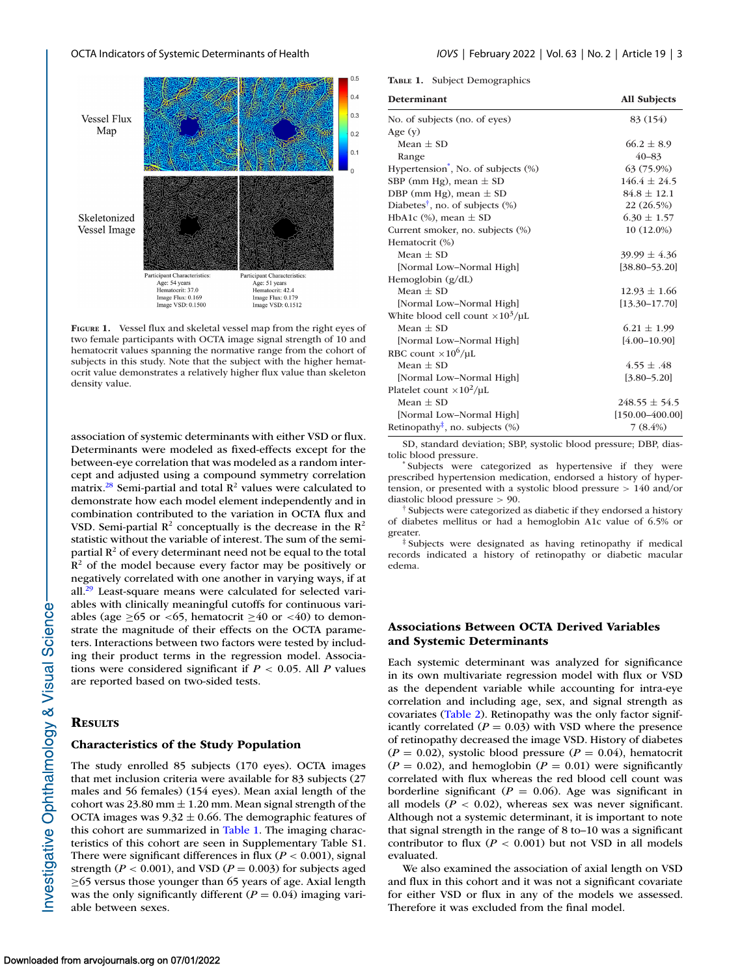<span id="page-2-0"></span>

**FIGURE 1.** Vessel flux and skeletal vessel map from the right eyes of two female participants with OCTA image signal strength of 10 and hematocrit values spanning the normative range from the cohort of subjects in this study. Note that the subject with the higher hematocrit value demonstrates a relatively higher flux value than skeleton density value.

association of systemic determinants with either VSD or flux. Determinants were modeled as fixed-effects except for the between-eye correlation that was modeled as a random intercept and adjusted using a compound symmetry correlation matrix.<sup>28</sup> Semi-partial and total  $\mathbb{R}^2$  values were calculated to demonstrate how each model element independently and in combination contributed to the variation in OCTA flux and VSD. Semi-partial  $R^2$  conceptually is the decrease in the  $R^2$ statistic without the variable of interest. The sum of the semipartial  $R^2$  of every determinant need not be equal to the total  $\mathbb{R}^2$  of the model because every factor may be positively or negatively correlated with one another in varying ways, if at all. $^{29}$  Least-square means were calculated for selected variables with clinically meaningful cutoffs for continuous variables (age ≥65 or <65, hematocrit ≥40 or <40) to demonstrate the magnitude of their effects on the OCTA parameters. Interactions between two factors were tested by including their product terms in the regression model. Associations were considered significant if *P* < 0.05. All *P* values are reported based on two-sided tests.

#### **RESULTS**

## **Characteristics of the Study Population**

The study enrolled 85 subjects (170 eyes). OCTA images that met inclusion criteria were available for 83 subjects (27 males and 56 females) (154 eyes). Mean axial length of the cohort was 23.80 mm  $\pm$  1.20 mm. Mean signal strength of the OCTA images was  $9.32 \pm 0.66$ . The demographic features of this cohort are summarized in Table 1. The imaging characteristics of this cohort are seen in Supplementary Table S1. There were significant differences in flux ( $P < 0.001$ ), signal strength ( $P < 0.001$ ), and VSD ( $P = 0.003$ ) for subjects aged ≥65 versus those younger than 65 years of age. Axial length was the only significantly different  $(P = 0.04)$  imaging variable between sexes.

**TABLE 1.** Subject Demographics

| <b>Determinant</b>                                              | <b>All Subjects</b> |  |  |
|-----------------------------------------------------------------|---------------------|--|--|
| No. of subjects (no. of eyes)                                   | 83 (154)            |  |  |
| Age $(y)$                                                       |                     |  |  |
| Mean $\pm$ SD                                                   | $66.2 \pm 8.9$      |  |  |
| Range                                                           | $40 - 83$           |  |  |
| Hypertension <sup>*</sup> , No. of subjects (%)                 | 63 (75.9%)          |  |  |
| SBP (mm Hg), mean $\pm$ SD                                      | $146.4 \pm 24.5$    |  |  |
| DBP (mm Hg), mean $\pm$ SD                                      | $84.8 \pm 12.1$     |  |  |
| Diabetes <sup>†</sup> , no. of subjects $(\%)$                  | 22 (26.5%)          |  |  |
| HbA1c $(\%)$ , mean $\pm$ SD                                    | $6.30 \pm 1.57$     |  |  |
| Current smoker, no. subjects (%)                                | $10(12.0\%)$        |  |  |
| Hematocrit (%)                                                  |                     |  |  |
| Mean $\pm$ SD                                                   | $39.99 \pm 4.36$    |  |  |
| [Normal Low-Normal High]                                        | $[38.80 - 53.20]$   |  |  |
| Hemoglobin $(g/dL)$                                             |                     |  |  |
| Mean $\pm$ SD                                                   | $12.93 \pm 1.66$    |  |  |
| [Normal Low-Normal High]                                        | $[13.30 - 17.70]$   |  |  |
| White blood cell count $\times 10^3/\mu L$                      |                     |  |  |
| Mean $\pm$ SD                                                   | $6.21 \pm 1.99$     |  |  |
| [Normal Low-Normal High]                                        | $[4.00 - 10.90]$    |  |  |
| RBC count $\times 10^6/\mu L$                                   |                     |  |  |
| Mean $\pm$ SD                                                   | $4.55 \pm .48$      |  |  |
| [Normal Low-Normal High]                                        | $[3.80 - 5.20]$     |  |  |
| Platelet count $\times 10^2/\mu L$                              |                     |  |  |
| Mean $\pm$ SD                                                   | $248.55 \pm 54.5$   |  |  |
| [Normal Low-Normal High]                                        | $[150.00 - 400.00]$ |  |  |
| Retinopathy <sup><math>\ddagger</math></sup> , no. subjects $%$ | $7(8.4\%)$          |  |  |

SD, standard deviation; SBP, systolic blood pressure; DBP, diastolic blood pressure. \* Subjects were categorized as hypertensive if they were

prescribed hypertension medication, endorsed a history of hypertension, or presented with a systolic blood pressure > 140 and/or diastolic blood pressure > 90.

† Subjects were categorized as diabetic if they endorsed a history of diabetes mellitus or had a hemoglobin A1c value of 6.5% or greater.

‡ Subjects were designated as having retinopathy if medical records indicated a history of retinopathy or diabetic macular edema.

## **Associations Between OCTA Derived Variables and Systemic Determinants**

Each systemic determinant was analyzed for significance in its own multivariate regression model with flux or VSD as the dependent variable while accounting for intra-eye correlation and including age, sex, and signal strength as covariates [\(Table 2\)](#page-3-0). Retinopathy was the only factor significantly correlated  $(P = 0.03)$  with VSD where the presence of retinopathy decreased the image VSD. History of diabetes  $(P = 0.02)$ , systolic blood pressure  $(P = 0.04)$ , hematocrit  $(P = 0.02)$ , and hemoglobin  $(P = 0.01)$  were significantly correlated with flux whereas the red blood cell count was borderline significant ( $P = 0.06$ ). Age was significant in all models  $(P < 0.02)$ , whereas sex was never significant. Although not a systemic determinant, it is important to note that signal strength in the range of 8 to–10 was a significant contributor to flux  $(P < 0.001)$  but not VSD in all models evaluated.

We also examined the association of axial length on VSD and flux in this cohort and it was not a significant covariate for either VSD or flux in any of the models we assessed. Therefore it was excluded from the final model.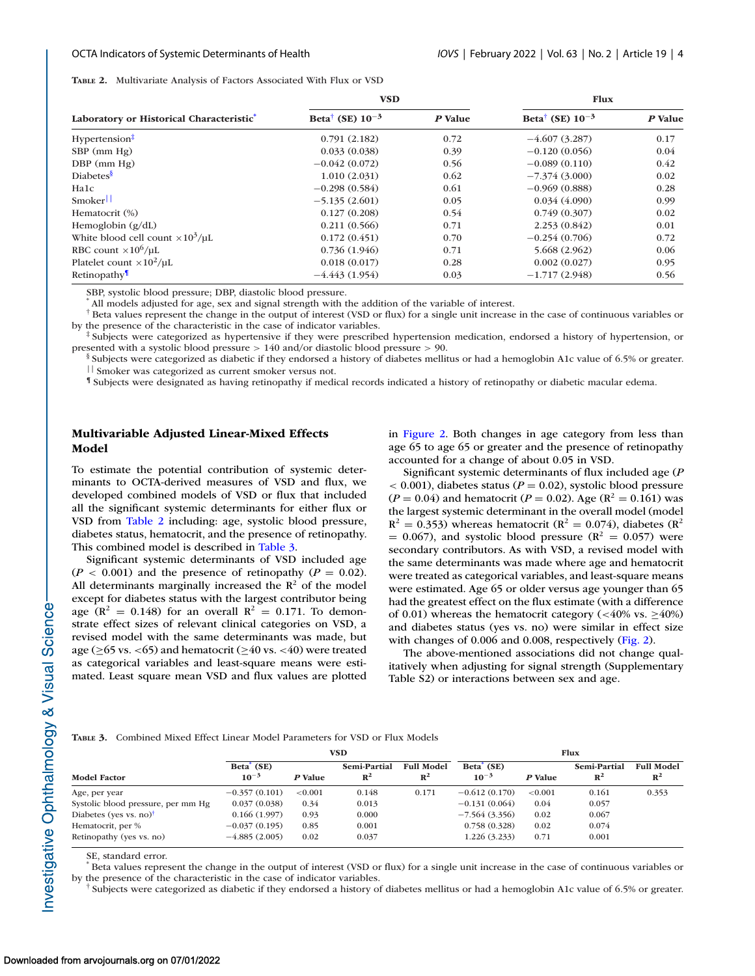<span id="page-3-0"></span>**TABLE 2.** Multivariate Analysis of Factors Associated With Flux or VSD

|                                            | <b>VSD</b>                       |         | <b>Flux</b>                      |         |  |
|--------------------------------------------|----------------------------------|---------|----------------------------------|---------|--|
| Laboratory or Historical Characteristic*   | Beta <sup>†</sup> (SE) $10^{-3}$ | P Value | Beta <sup>†</sup> (SE) $10^{-3}$ | P Value |  |
| Hypertension <sup>‡</sup>                  | 0.791(2.182)                     | 0.72    | $-4.607(3.287)$                  | 0.17    |  |
| $SBP$ (mm $Hg$ )                           | 0.033(0.038)                     | 0.39    | $-0.120(0.056)$                  | 0.04    |  |
| $DBP$ (mm $Hg$ )                           | $-0.042(0.072)$                  | 0.56    | $-0.089(0.110)$                  | 0.42    |  |
| Diabetes <sup>§</sup>                      | 1.010(2.031)                     | 0.62    | $-7.374(3.000)$                  | 0.02    |  |
| Ha1c                                       | $-0.298(0.584)$                  | 0.61    | $-0.969(0.888)$                  | 0.28    |  |
| Smoker                                     | $-5.135(2.601)$                  | 0.05    | 0.034(4.090)                     | 0.99    |  |
| Hematocrit (%)                             | 0.127(0.208)                     | 0.54    | 0.749(0.307)                     | 0.02    |  |
| Hemoglobin $(g/dL)$                        | 0.211(0.566)                     | 0.71    | 2.253(0.842)                     | 0.01    |  |
| White blood cell count $\times 10^3/\mu L$ | 0.172(0.451)                     | 0.70    | $-0.254(0.706)$                  | 0.72    |  |
| RBC count $\times 10^6/\mu L$              | 0.736(1.946)                     | 0.71    | 5.668 (2.962)                    | 0.06    |  |
| Platelet count $\times 10^2/\mu L$         | 0.018(0.017)                     | 0.28    | 0.002(0.027)                     | 0.95    |  |
| Retinopathy                                | $-4.443(1.954)$                  | 0.03    | $-1.717(2.948)$                  | 0.56    |  |

SBP, systolic blood pressure; DBP, diastolic blood pressure.

All models adjusted for age, sex and signal strength with the addition of the variable of interest.

† Beta values represent the change in the output of interest (VSD or flux) for a single unit increase in the case of continuous variables or by the presence of the characteristic in the case of indicator variables.

‡ Subjects were categorized as hypertensive if they were prescribed hypertension medication, endorsed a history of hypertension, or presented with a systolic blood pressure > 140 and/or diastolic blood pressure > 90.

§ Subjects were categorized as diabetic if they endorsed a history of diabetes mellitus or had a hemoglobin A1c value of 6.5% or greater. || Smoker was categorized as current smoker versus not.

¶ Subjects were designated as having retinopathy if medical records indicated a history of retinopathy or diabetic macular edema.

## **Multivariable Adjusted Linear-Mixed Effects Model**

To estimate the potential contribution of systemic determinants to OCTA-derived measures of VSD and flux, we developed combined models of VSD or flux that included all the significant systemic determinants for either flux or VSD from Table 2 including: age, systolic blood pressure, diabetes status, hematocrit, and the presence of retinopathy. This combined model is described in Table 3.

Significant systemic determinants of VSD included age  $(P < 0.001)$  and the presence of retinopathy  $(P = 0.02)$ . All determinants marginally increased the  $\mathbb{R}^2$  of the model except for diabetes status with the largest contributor being age ( $\mathbb{R}^2 = 0.148$ ) for an overall  $\mathbb{R}^2 = 0.171$ . To demonstrate effect sizes of relevant clinical categories on VSD, a revised model with the same determinants was made, but age ( $\geq$ 65 vs. <65) and hematocrit ( $\geq$ 40 vs. <40) were treated as categorical variables and least-square means were estimated. Least square mean VSD and flux values are plotted in [Figure 2.](#page-4-0) Both changes in age category from less than age 65 to age 65 or greater and the presence of retinopathy accounted for a change of about 0.05 in VSD.

Significant systemic determinants of flux included age (*P*  $<$  0.001), diabetes status ( $P = 0.02$ ), systolic blood pressure  $(P = 0.04)$  and hematocrit  $(P = 0.02)$ . Age  $(R^2 = 0.161)$  was the largest systemic determinant in the overall model (model  $R^2 = 0.353$ ) whereas hematocrit ( $R^2 = 0.074$ ), diabetes ( $R^2$ )  $= 0.067$ ), and systolic blood pressure ( $\mathbb{R}^2 = 0.057$ ) were secondary contributors. As with VSD, a revised model with the same determinants was made where age and hematocrit were treated as categorical variables, and least-square means were estimated. Age 65 or older versus age younger than 65 had the greatest effect on the flux estimate (with a difference of 0.01) whereas the hematocrit category (<40% vs.  $\geq$ 40%) and diabetes status (yes vs. no) were similar in effect size with changes of 0.006 and 0.008, respectively [\(Fig. 2\)](#page-4-0).

The above-mentioned associations did not change qualitatively when adjusting for signal strength (Supplementary Table S2) or interactions between sex and age.

|  | <b>TABLE 3.</b> Combined Mixed Effect Linear Model Parameters for VSD or Flux Models |  |  |  |  |  |  |
|--|--------------------------------------------------------------------------------------|--|--|--|--|--|--|
|--|--------------------------------------------------------------------------------------|--|--|--|--|--|--|

|                                    | VSD                                 |            |                                |                                     | <b>Flux</b>                         |         |                                |                                     |
|------------------------------------|-------------------------------------|------------|--------------------------------|-------------------------------------|-------------------------------------|---------|--------------------------------|-------------------------------------|
| <b>Model Factor</b>                | Beta <sup>'</sup> (SE)<br>$10^{-3}$ | P Value    | Semi-Partial<br>$\mathbb{R}^2$ | <b>Full Model</b><br>$\mathbb{R}^2$ | Beta <sup>'</sup> (SE)<br>$10^{-3}$ | P Value | Semi-Partial<br>$\mathbb{R}^2$ | <b>Full Model</b><br>$\mathbb{R}^2$ |
| Age, per year                      | $-0.357(0.101)$                     | ${<}0.001$ | 0.148                          | 0.171                               | $-0.612(0.170)$                     | < 0.001 | 0.161                          | 0.353                               |
| Systolic blood pressure, per mm Hg | 0.037(0.038)                        | 0.34       | 0.013                          |                                     | $-0.131(0.064)$                     | 0.04    | 0.057                          |                                     |
| Diabetes (yes vs. no) $\dagger$    | 0.166(1.997)                        | 0.93       | 0.000                          |                                     | $-7.564(3.356)$                     | 0.02    | 0.067                          |                                     |
| Hematocrit, per %                  | $-0.037(0.195)$                     | 0.85       | 0.001                          |                                     | 0.758(0.328)                        | 0.02    | 0.074                          |                                     |
| Retinopathy (yes vs. no)           | $-4.885(2.005)$                     | 0.02       | 0.037                          |                                     | 1.226(3.233)                        | 0.71    | 0.001                          |                                     |

SE, standard error.

Beta values represent the change in the output of interest (VSD or flux) for a single unit increase in the case of continuous variables or by the presence of the characteristic in the case of indicator variables.

† Subjects were categorized as diabetic if they endorsed a history of diabetes mellitus or had a hemoglobin A1c value of 6.5% or greater.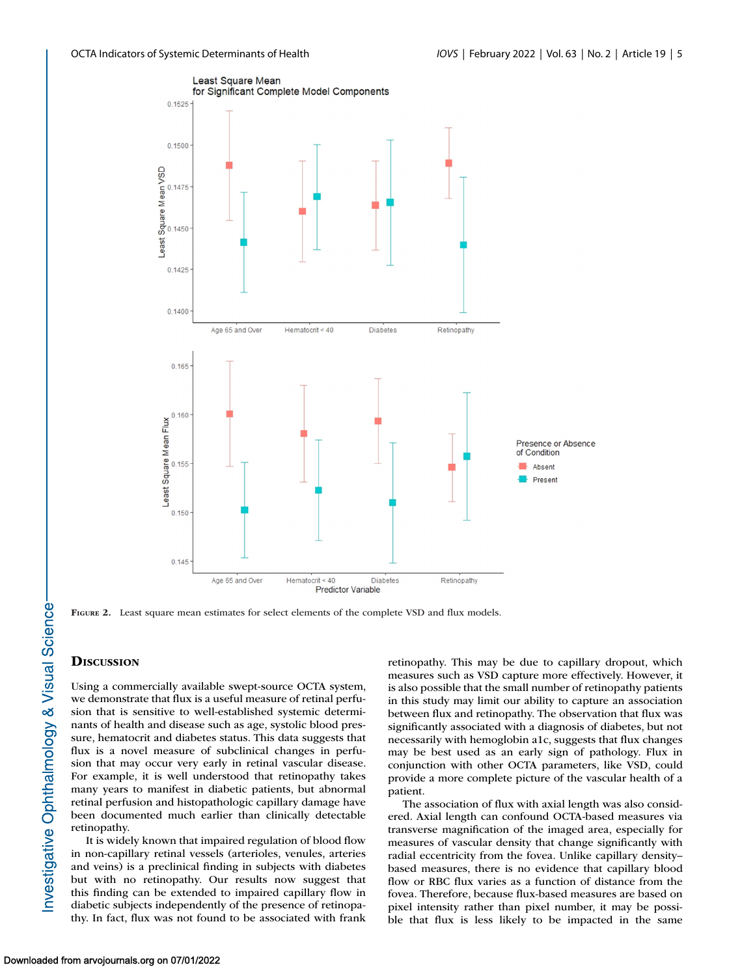<span id="page-4-0"></span>

**FIGURE 2.** Least square mean estimates for select elements of the complete VSD and flux models.

## **DISCUSSION**

Using a commercially available swept-source OCTA system, we demonstrate that flux is a useful measure of retinal perfusion that is sensitive to well-established systemic determinants of health and disease such as age, systolic blood pressure, hematocrit and diabetes status. This data suggests that flux is a novel measure of subclinical changes in perfusion that may occur very early in retinal vascular disease. For example, it is well understood that retinopathy takes many years to manifest in diabetic patients, but abnormal retinal perfusion and histopathologic capillary damage have been documented much earlier than clinically detectable retinopathy.

It is widely known that impaired regulation of blood flow in non-capillary retinal vessels (arterioles, venules, arteries and veins) is a preclinical finding in subjects with diabetes but with no retinopathy. Our results now suggest that this finding can be extended to impaired capillary flow in diabetic subjects independently of the presence of retinopathy. In fact, flux was not found to be associated with frank retinopathy. This may be due to capillary dropout, which measures such as VSD capture more effectively. However, it is also possible that the small number of retinopathy patients in this study may limit our ability to capture an association between flux and retinopathy. The observation that flux was significantly associated with a diagnosis of diabetes, but not necessarily with hemoglobin a1c, suggests that flux changes may be best used as an early sign of pathology. Flux in conjunction with other OCTA parameters, like VSD, could provide a more complete picture of the vascular health of a patient.

The association of flux with axial length was also considered. Axial length can confound OCTA-based measures via transverse magnification of the imaged area, especially for measures of vascular density that change significantly with radial eccentricity from the fovea. Unlike capillary density– based measures, there is no evidence that capillary blood flow or RBC flux varies as a function of distance from the fovea. Therefore, because flux-based measures are based on pixel intensity rather than pixel number, it may be possible that flux is less likely to be impacted in the same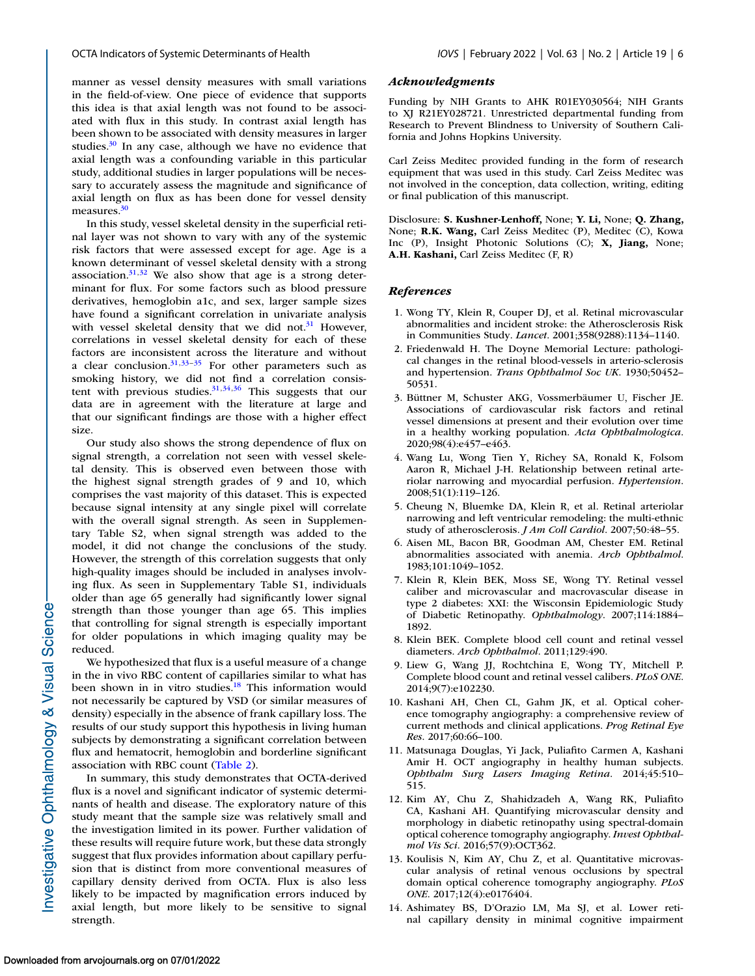<span id="page-5-0"></span>manner as vessel density measures with small variations in the field-of-view. One piece of evidence that supports this idea is that axial length was not found to be associated with flux in this study. In contrast axial length has been shown to be associated with density measures in larger studies. $30$  In any case, although we have no evidence that axial length was a confounding variable in this particular study, additional studies in larger populations will be necessary to accurately assess the magnitude and significance of axial length on flux as has been done for vessel density measures.<sup>30</sup>

In this study, vessel skeletal density in the superficial retinal layer was not shown to vary with any of the systemic risk factors that were assessed except for age. Age is a known determinant of vessel skeletal density with a strong association. $31,32$  We also show that age is a strong determinant for flux. For some factors such as blood pressure derivatives, hemoglobin a1c, and sex, larger sample sizes have found a significant correlation in univariate analysis with vessel skeletal density that we did not. $31$  However, correlations in vessel skeletal density for each of these factors are inconsistent across the literature and without a clear conclusion. $31,33-35$  For other parameters such as smoking history, we did not find a correlation consistent with previous studies. $31,34,36$  This suggests that our data are in agreement with the literature at large and that our significant findings are those with a higher effect size.

Our study also shows the strong dependence of flux on signal strength, a correlation not seen with vessel skeletal density. This is observed even between those with the highest signal strength grades of 9 and 10, which comprises the vast majority of this dataset. This is expected because signal intensity at any single pixel will correlate with the overall signal strength. As seen in Supplementary Table S2, when signal strength was added to the model, it did not change the conclusions of the study. However, the strength of this correlation suggests that only high-quality images should be included in analyses involving flux. As seen in Supplementary Table S1, individuals older than age 65 generally had significantly lower signal strength than those younger than age 65. This implies that controlling for signal strength is especially important for older populations in which imaging quality may be reduced.

We hypothesized that flux is a useful measure of a change in the in vivo RBC content of capillaries similar to what has been shown in in vitro studies.<sup>18</sup> This information would not necessarily be captured by VSD (or similar measures of density) especially in the absence of frank capillary loss. The results of our study support this hypothesis in living human subjects by demonstrating a significant correlation between flux and hematocrit, hemoglobin and borderline significant association with RBC count [\(Table 2\)](#page-3-0).

In summary, this study demonstrates that OCTA-derived flux is a novel and significant indicator of systemic determinants of health and disease. The exploratory nature of this study meant that the sample size was relatively small and the investigation limited in its power. Further validation of these results will require future work, but these data strongly suggest that flux provides information about capillary perfusion that is distinct from more conventional measures of capillary density derived from OCTA. Flux is also less likely to be impacted by magnification errors induced by axial length, but more likely to be sensitive to signal strength.

#### *Acknowledgments*

Funding by NIH Grants to AHK R01EY030564; NIH Grants to XJ R21EY028721. Unrestricted departmental funding from Research to Prevent Blindness to University of Southern California and Johns Hopkins University.

Carl Zeiss Meditec provided funding in the form of research equipment that was used in this study. Carl Zeiss Meditec was not involved in the conception, data collection, writing, editing or final publication of this manuscript.

Disclosure: **S. Kushner-Lenhoff,** None; **Y. Li,** None; **Q. Zhang,** None; **R.K. Wang,** Carl Zeiss Meditec (P), Meditec (C), Kowa Inc (P), Insight Photonic Solutions (C); **X, Jiang,** None; **A.H. Kashani,** Carl Zeiss Meditec (F, R)

#### *References*

- 1. Wong TY, Klein R, Couper DJ, et al. Retinal microvascular abnormalities and incident stroke: the Atherosclerosis Risk in Communities Study. *Lancet*. 2001;358(9288):1134–1140.
- 2. Friedenwald H. The Doyne Memorial Lecture: pathological changes in the retinal blood-vessels in arterio-sclerosis and hypertension. *Trans Ophthalmol Soc UK*. 1930;50452– 50531.
- 3. Büttner M, Schuster AKG, Vossmerbäumer U, Fischer JE. Associations of cardiovascular risk factors and retinal vessel dimensions at present and their evolution over time in a healthy working population. *Acta Ophthalmologica*. 2020;98(4):e457–e463.
- 4. Wang Lu, Wong Tien Y, Richey SA, Ronald K, Folsom Aaron R, Michael J-H. Relationship between retinal arteriolar narrowing and myocardial perfusion. *Hypertension*. 2008;51(1):119–126.
- 5. Cheung N, Bluemke DA, Klein R, et al. Retinal arteriolar narrowing and left ventricular remodeling: the multi-ethnic study of atherosclerosis. *J Am Coll Cardiol*. 2007;50:48–55.
- 6. Aisen ML, Bacon BR, Goodman AM, Chester EM. Retinal abnormalities associated with anemia. *Arch Ophthalmol*. 1983;101:1049–1052.
- 7. Klein R, Klein BEK, Moss SE, Wong TY. Retinal vessel caliber and microvascular and macrovascular disease in type 2 diabetes: XXI: the Wisconsin Epidemiologic Study of Diabetic Retinopathy. *Ophthalmology*. 2007;114:1884– 1892.
- 8. Klein BEK. Complete blood cell count and retinal vessel diameters. *Arch Ophthalmol*. 2011;129:490.
- 9. Liew G, Wang JJ, Rochtchina E, Wong TY, Mitchell P. Complete blood count and retinal vessel calibers. *PLoS ONE*. 2014;9(7):e102230.
- 10. Kashani AH, Chen CL, Gahm JK, et al. Optical coherence tomography angiography: a comprehensive review of current methods and clinical applications. *Prog Retinal Eye Res*. 2017;60:66–100.
- 11. Matsunaga Douglas, Yi Jack, Puliafito Carmen A, Kashani Amir H. OCT angiography in healthy human subjects. *Ophthalm Surg Lasers Imaging Retina*. 2014;45:510– 515.
- 12. Kim AY, Chu Z, Shahidzadeh A, Wang RK, Puliafito CA, Kashani AH. Quantifying microvascular density and morphology in diabetic retinopathy using spectral-domain optical coherence tomography angiography. *Invest Ophthalmol Vis Sci*. 2016;57(9):OCT362.
- 13. Koulisis N, Kim AY, Chu Z, et al. Quantitative microvascular analysis of retinal venous occlusions by spectral domain optical coherence tomography angiography. *PLoS ONE*. 2017;12(4):e0176404.
- 14. Ashimatey BS, D'Orazio LM, Ma SJ, et al. Lower retinal capillary density in minimal cognitive impairment